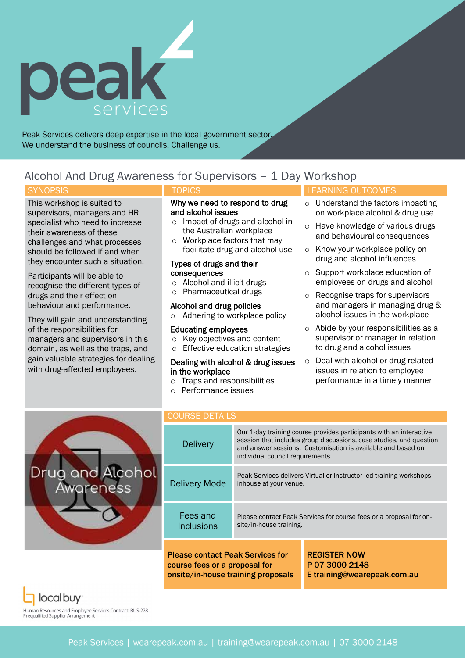

Peak Services delivers deep expertise in the local government sector. We understand the business of councils. Challenge us.

# Alcohol And Drug Awareness for Supervisors – 1 Day Workshop

This workshop is suited to supervisors, managers and HR specialist who need to increase their awareness of these challenges and what processes should be followed if and when they encounter such a situation.

Participants will be able to recognise the different types of drugs and their effect on behaviour and performance.

They will gain and understanding of the responsibilities for managers and supervisors in this domain, as well as the traps, and gain valuable strategies for dealing with drug-affected employees.

### Why we need to respond to drug and alcohol issues

- o Impact of drugs and alcohol in the Australian workplace
- o Workplace factors that may facilitate drug and alcohol use

#### Types of drugs and their consequences

- o Alcohol and illicit drugs
- o Pharmaceutical drugs

#### Alcohol and drug policies

o Adhering to workplace policy

#### Educating employees

- o Key objectives and content
- Effective education strategies

#### Dealing with alcohol & drug issues in the workplace

- o Traps and responsibilities
- o Performance issues

## SYNOPSIS **External Synopsis**  $\blacksquare$  TOPICS **LEARNING OUTCOMES**

- o Understand the factors impacting on workplace alcohol & drug use
- o Have knowledge of various drugs and behavioural consequences
- o Know your workplace policy on drug and alcohol influences
- o Support workplace education of employees on drugs and alcohol
- o Recognise traps for supervisors and managers in managing drug & alcohol issues in the workplace
- o Abide by your responsibilities as a supervisor or manager in relation to drug and alcohol issues
- o Deal with alcohol or drug-related issues in relation to employee performance in a timely manner



| <b>COURSE DETAILS</b>                                                                                          |                                                                                                                                                                                                                                                |                                                                      |
|----------------------------------------------------------------------------------------------------------------|------------------------------------------------------------------------------------------------------------------------------------------------------------------------------------------------------------------------------------------------|----------------------------------------------------------------------|
| <b>Delivery</b>                                                                                                | Our 1-day training course provides participants with an interactive<br>session that includes group discussions, case studies, and question<br>and answer sessions. Customisation is available and based on<br>individual council requirements. |                                                                      |
| <b>Delivery Mode</b>                                                                                           | Peak Services delivers Virtual or Instructor-led training workshops<br>inhouse at your venue.                                                                                                                                                  |                                                                      |
| Fees and<br>Inclusions                                                                                         | Please contact Peak Services for course fees or a proposal for on-<br>site/in-house training.                                                                                                                                                  |                                                                      |
| <b>Please contact Peak Services for</b><br>course fees or a proposal for<br>onsite/in-house training proposals |                                                                                                                                                                                                                                                | <b>REGISTER NOW</b><br>P 07 3000 2148<br>E training@wearepeak.com.au |